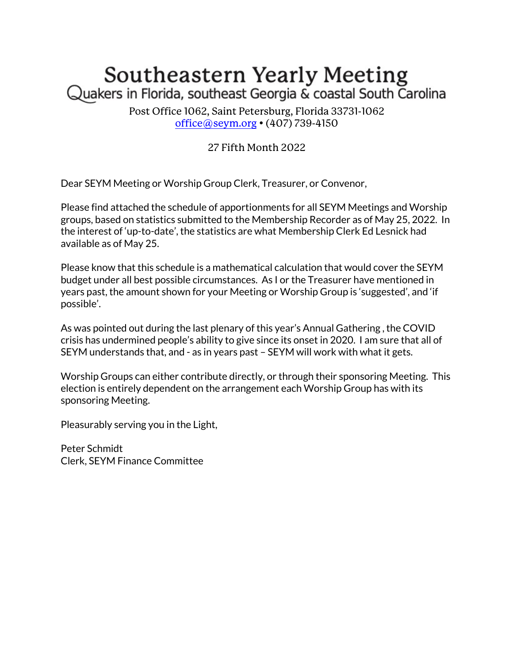## Southeastern Yearly Meeting Quakers in Florida, southeast Georgia & coastal South Carolina

Post Office 1062, Saint Petersburg, Florida 33731-1062 office@seym.org • (407) 739-4150

## 27 Fifth Month 2022

Dear SEYM Meeting or Worship Group Clerk, Treasurer, or Convenor,

Please find attached the schedule of apportionments for all SEYM Meetings and Worship groups, based on statistics submitted to the Membership Recorder as of May 25, 2022. In the interest of 'up-to-date', the statistics are what Membership Clerk Ed Lesnick had available as of May 25.

Please know that this schedule is a mathematical calculation that would cover the SEYM budget under all best possible circumstances. As I or the Treasurer have mentioned in years past, the amount shown for your Meeting or Worship Group is 'suggested', and 'if possible'.

As was pointed out during the last plenary of this year's Annual Gathering , the COVID crisis has undermined people's ability to give since its onset in 2020. I am sure that all of SEYM understands that, and - as in years past – SEYM will work with what it gets.

Worship Groups can either contribute directly, or through their sponsoring Meeting. This election is entirely dependent on the arrangement each Worship Group has with its sponsoring Meeting.

Pleasurably serving you in the Light,

Peter Schmidt Clerk, SEYM Finance Committee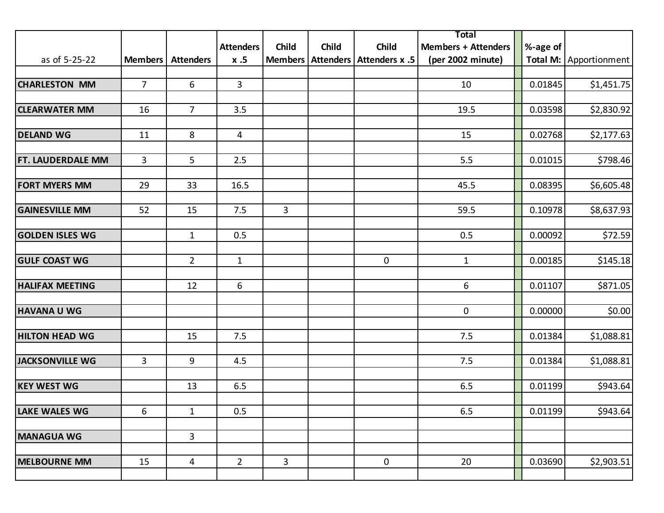|                          |                |                  |                  |              |              |                                      | Total                      |          |                        |
|--------------------------|----------------|------------------|------------------|--------------|--------------|--------------------------------------|----------------------------|----------|------------------------|
|                          |                |                  | <b>Attenders</b> | <b>Child</b> | <b>Child</b> | Child                                | <b>Members + Attenders</b> | %-age of |                        |
| as of 5-25-22            | <b>Members</b> | <b>Attenders</b> | x.5              |              |              | Members   Attenders   Attenders x .5 | (per 2002 minute)          |          | Total M: Apportionment |
|                          |                |                  |                  |              |              |                                      |                            |          |                        |
| <b>CHARLESTON MM</b>     | $\overline{7}$ | 6                | $\overline{3}$   |              |              |                                      | 10                         | 0.01845  | \$1,451.75             |
|                          |                |                  |                  |              |              |                                      |                            |          |                        |
| <b>CLEARWATER MM</b>     | 16             | $\overline{7}$   | 3.5              |              |              |                                      | 19.5                       | 0.03598  | \$2,830.92             |
|                          |                |                  |                  |              |              |                                      |                            |          |                        |
| <b>DELAND WG</b>         | 11             | 8                | 4                |              |              |                                      | 15                         | 0.02768  | \$2,177.63             |
|                          |                |                  |                  |              |              |                                      |                            |          |                        |
| <b>FT. LAUDERDALE MM</b> | 3              | 5                | 2.5              |              |              |                                      | 5.5                        | 0.01015  | \$798.46               |
|                          |                |                  |                  |              |              |                                      |                            |          |                        |
| <b>FORT MYERS MM</b>     | 29             | 33               | 16.5             |              |              |                                      | 45.5                       | 0.08395  | \$6,605.48             |
|                          |                |                  |                  |              |              |                                      |                            |          |                        |
| <b>GAINESVILLE MM</b>    | 52             | 15               | 7.5              | $\mathbf{3}$ |              |                                      | 59.5                       | 0.10978  | \$8,637.93             |
|                          |                |                  |                  |              |              |                                      |                            |          |                        |
| <b>GOLDEN ISLES WG</b>   |                | $\mathbf{1}$     | 0.5              |              |              |                                      | 0.5                        | 0.00092  | \$72.59                |
|                          |                |                  |                  |              |              |                                      |                            |          |                        |
| <b>GULF COAST WG</b>     |                | $\overline{2}$   | $\mathbf{1}$     |              |              | 0                                    | $\mathbf{1}$               | 0.00185  | \$145.18               |
|                          |                |                  |                  |              |              |                                      |                            |          |                        |
| <b>HALIFAX MEETING</b>   |                | 12               | 6                |              |              |                                      | 6                          | 0.01107  | \$871.05               |
|                          |                |                  |                  |              |              |                                      |                            |          |                        |
| <b>HAVANA U WG</b>       |                |                  |                  |              |              |                                      | $\mathbf 0$                | 0.00000  | \$0.00                 |
|                          |                |                  |                  |              |              |                                      |                            |          |                        |
| <b>HILTON HEAD WG</b>    |                | 15               | 7.5              |              |              |                                      | 7.5                        | 0.01384  | \$1,088.81             |
|                          |                |                  |                  |              |              |                                      |                            |          |                        |
| JACKSONVILLE WG          | 3              | 9                | 4.5              |              |              |                                      | 7.5                        | 0.01384  | \$1,088.81             |
|                          |                |                  |                  |              |              |                                      |                            |          |                        |
| <b>KEY WEST WG</b>       |                | 13               | 6.5              |              |              |                                      | 6.5                        | 0.01199  | \$943.64               |
|                          |                |                  |                  |              |              |                                      |                            |          |                        |
| <b>LAKE WALES WG</b>     | 6              | $\mathbf{1}$     | 0.5              |              |              |                                      | 6.5                        | 0.01199  | \$943.64               |
|                          |                |                  |                  |              |              |                                      |                            |          |                        |
| <b>MANAGUA WG</b>        |                | 3                |                  |              |              |                                      |                            |          |                        |
|                          |                |                  |                  |              |              |                                      |                            |          |                        |
| <b>MELBOURNE MM</b>      | 15             | 4                | $\overline{2}$   | $\mathbf{3}$ |              | $\pmb{0}$                            | 20                         | 0.03690  | \$2,903.51             |
|                          |                |                  |                  |              |              |                                      |                            |          |                        |
|                          |                |                  |                  |              |              |                                      |                            |          |                        |